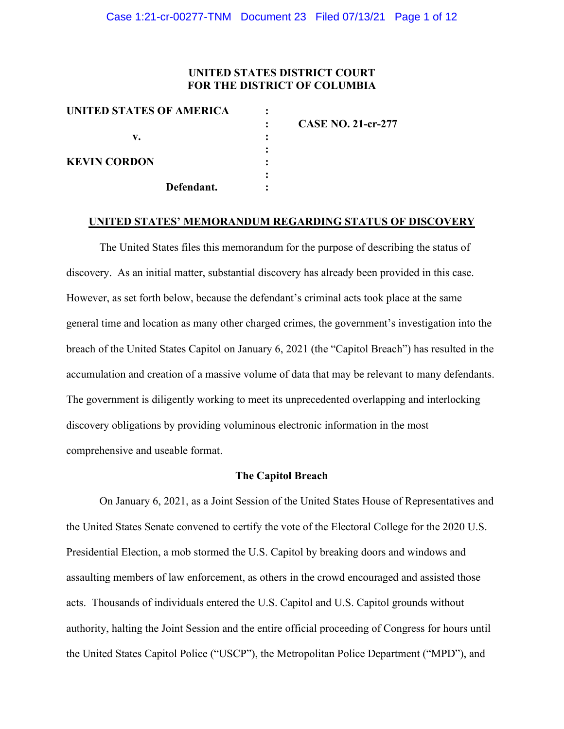## **UNITED STATES DISTRICT COURT FOR THE DISTRICT OF COLUMBIA**

|            |                          | <b>CASE NO. 21-cr-277</b> |
|------------|--------------------------|---------------------------|
|            |                          |                           |
|            |                          |                           |
|            |                          |                           |
|            |                          |                           |
| Defendant. |                          |                           |
|            | UNITED STATES OF AMERICA |                           |

#### **UNITED STATES' MEMORANDUM REGARDING STATUS OF DISCOVERY**

The United States files this memorandum for the purpose of describing the status of discovery. As an initial matter, substantial discovery has already been provided in this case. However, as set forth below, because the defendant's criminal acts took place at the same general time and location as many other charged crimes, the government's investigation into the breach of the United States Capitol on January 6, 2021 (the "Capitol Breach") has resulted in the accumulation and creation of a massive volume of data that may be relevant to many defendants. The government is diligently working to meet its unprecedented overlapping and interlocking discovery obligations by providing voluminous electronic information in the most comprehensive and useable format.

### **The Capitol Breach**

On January 6, 2021, as a Joint Session of the United States House of Representatives and the United States Senate convened to certify the vote of the Electoral College for the 2020 U.S. Presidential Election, a mob stormed the U.S. Capitol by breaking doors and windows and assaulting members of law enforcement, as others in the crowd encouraged and assisted those acts. Thousands of individuals entered the U.S. Capitol and U.S. Capitol grounds without authority, halting the Joint Session and the entire official proceeding of Congress for hours until the United States Capitol Police ("USCP"), the Metropolitan Police Department ("MPD"), and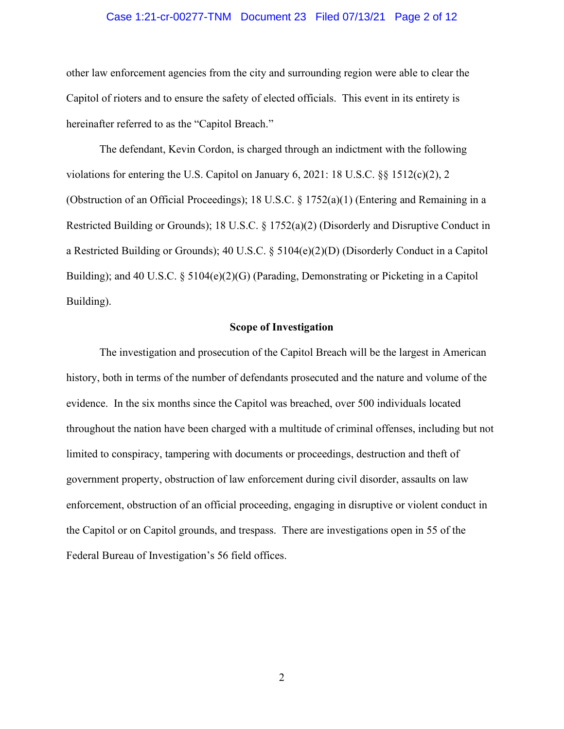### Case 1:21-cr-00277-TNM Document 23 Filed 07/13/21 Page 2 of 12

other law enforcement agencies from the city and surrounding region were able to clear the Capitol of rioters and to ensure the safety of elected officials. This event in its entirety is hereinafter referred to as the "Capitol Breach."

The defendant, Kevin Cordon, is charged through an indictment with the following violations for entering the U.S. Capitol on January 6, 2021: 18 U.S.C.  $\&$  1512(c)(2), 2 (Obstruction of an Official Proceedings); 18 U.S.C. § 1752(a)(1) (Entering and Remaining in a Restricted Building or Grounds); 18 U.S.C. § 1752(a)(2) (Disorderly and Disruptive Conduct in a Restricted Building or Grounds); 40 U.S.C. § 5104(e)(2)(D) (Disorderly Conduct in a Capitol Building); and 40 U.S.C. § 5104(e)(2)(G) (Parading, Demonstrating or Picketing in a Capitol Building).

#### **Scope of Investigation**

The investigation and prosecution of the Capitol Breach will be the largest in American history, both in terms of the number of defendants prosecuted and the nature and volume of the evidence. In the six months since the Capitol was breached, over 500 individuals located throughout the nation have been charged with a multitude of criminal offenses, including but not limited to conspiracy, tampering with documents or proceedings, destruction and theft of government property, obstruction of law enforcement during civil disorder, assaults on law enforcement, obstruction of an official proceeding, engaging in disruptive or violent conduct in the Capitol or on Capitol grounds, and trespass. There are investigations open in 55 of the Federal Bureau of Investigation's 56 field offices.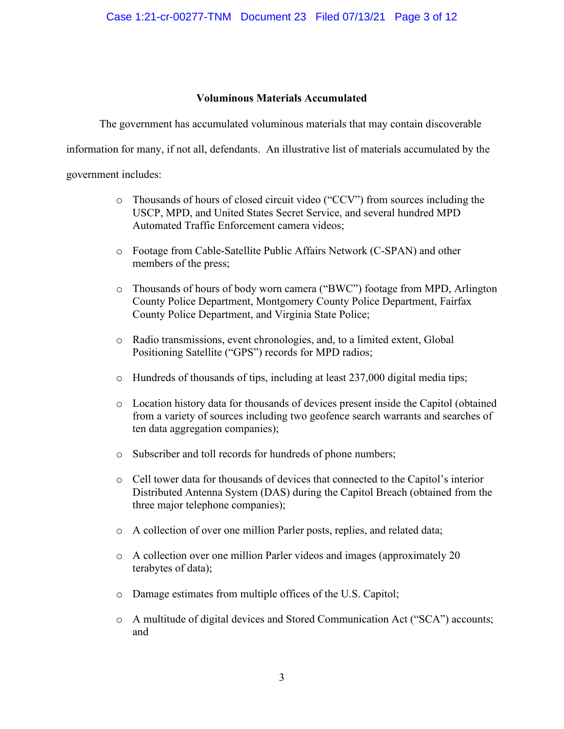## **Voluminous Materials Accumulated**

The government has accumulated voluminous materials that may contain discoverable

information for many, if not all, defendants. An illustrative list of materials accumulated by the

government includes:

- o Thousands of hours of closed circuit video ("CCV") from sources including the USCP, MPD, and United States Secret Service, and several hundred MPD Automated Traffic Enforcement camera videos;
- o Footage from Cable-Satellite Public Affairs Network (C-SPAN) and other members of the press;
- o Thousands of hours of body worn camera ("BWC") footage from MPD, Arlington County Police Department, Montgomery County Police Department, Fairfax County Police Department, and Virginia State Police;
- o Radio transmissions, event chronologies, and, to a limited extent, Global Positioning Satellite ("GPS") records for MPD radios;
- o Hundreds of thousands of tips, including at least 237,000 digital media tips;
- o Location history data for thousands of devices present inside the Capitol (obtained from a variety of sources including two geofence search warrants and searches of ten data aggregation companies);
- o Subscriber and toll records for hundreds of phone numbers;
- o Cell tower data for thousands of devices that connected to the Capitol's interior Distributed Antenna System (DAS) during the Capitol Breach (obtained from the three major telephone companies);
- o A collection of over one million Parler posts, replies, and related data;
- o A collection over one million Parler videos and images (approximately 20 terabytes of data);
- o Damage estimates from multiple offices of the U.S. Capitol;
- o A multitude of digital devices and Stored Communication Act ("SCA") accounts; and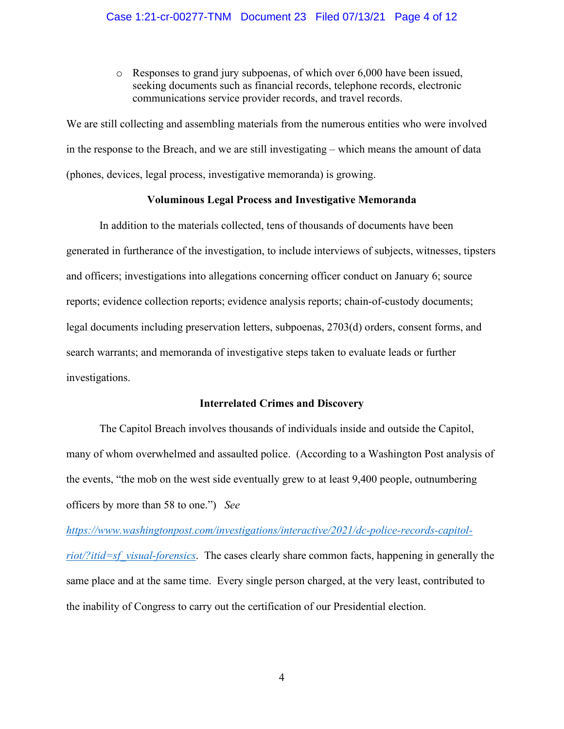o Responses to grand jury subpoenas, of which over 6,000 have been issued, seeking documents such as financial records, telephone records, electronic communications service provider records, and travel records.

We are still collecting and assembling materials from the numerous entities who were involved in the response to the Breach, and we are still investigating – which means the amount of data (phones, devices, legal process, investigative memoranda) is growing.

## **Voluminous Legal Process and Investigative Memoranda**

In addition to the materials collected, tens of thousands of documents have been generated in furtherance of the investigation, to include interviews of subjects, witnesses, tipsters and officers; investigations into allegations concerning officer conduct on January 6; source reports; evidence collection reports; evidence analysis reports; chain-of-custody documents; legal documents including preservation letters, subpoenas, 2703(d) orders, consent forms, and search warrants; and memoranda of investigative steps taken to evaluate leads or further investigations.

#### **Interrelated Crimes and Discovery**

The Capitol Breach involves thousands of individuals inside and outside the Capitol, many of whom overwhelmed and assaulted police. (According to a Washington Post analysis of the events, "the mob on the west side eventually grew to at least 9,400 people, outnumbering officers by more than 58 to one.") *See* 

*https://www.washingtonpost.com/investigations/interactive/2021/dc-police-records-capitolriot/?itid=sf\_visual-forensics*. The cases clearly share common facts, happening in generally the same place and at the same time. Every single person charged, at the very least, contributed to the inability of Congress to carry out the certification of our Presidential election.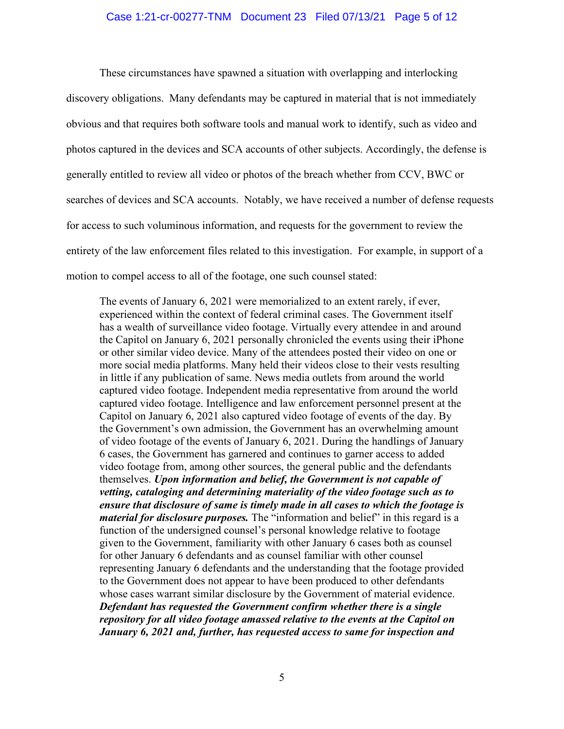#### Case 1:21-cr-00277-TNM Document 23 Filed 07/13/21 Page 5 of 12

These circumstances have spawned a situation with overlapping and interlocking discovery obligations. Many defendants may be captured in material that is not immediately obvious and that requires both software tools and manual work to identify, such as video and photos captured in the devices and SCA accounts of other subjects. Accordingly, the defense is generally entitled to review all video or photos of the breach whether from CCV, BWC or searches of devices and SCA accounts. Notably, we have received a number of defense requests for access to such voluminous information, and requests for the government to review the entirety of the law enforcement files related to this investigation. For example, in support of a motion to compel access to all of the footage, one such counsel stated:

The events of January 6, 2021 were memorialized to an extent rarely, if ever, experienced within the context of federal criminal cases. The Government itself has a wealth of surveillance video footage. Virtually every attendee in and around the Capitol on January 6, 2021 personally chronicled the events using their iPhone or other similar video device. Many of the attendees posted their video on one or more social media platforms. Many held their videos close to their vests resulting in little if any publication of same. News media outlets from around the world captured video footage. Independent media representative from around the world captured video footage. Intelligence and law enforcement personnel present at the Capitol on January 6, 2021 also captured video footage of events of the day. By the Government's own admission, the Government has an overwhelming amount of video footage of the events of January 6, 2021. During the handlings of January 6 cases, the Government has garnered and continues to garner access to added video footage from, among other sources, the general public and the defendants themselves. *Upon information and belief, the Government is not capable of vetting, cataloging and determining materiality of the video footage such as to ensure that disclosure of same is timely made in all cases to which the footage is material for disclosure purposes.* The "information and belief" in this regard is a function of the undersigned counsel's personal knowledge relative to footage given to the Government, familiarity with other January 6 cases both as counsel for other January 6 defendants and as counsel familiar with other counsel representing January 6 defendants and the understanding that the footage provided to the Government does not appear to have been produced to other defendants whose cases warrant similar disclosure by the Government of material evidence. *Defendant has requested the Government confirm whether there is a single repository for all video footage amassed relative to the events at the Capitol on January 6, 2021 and, further, has requested access to same for inspection and*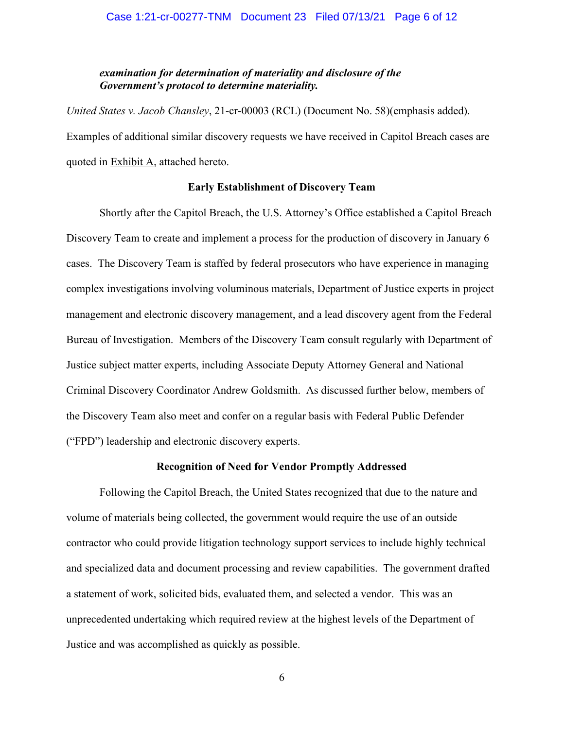## *examination for determination of materiality and disclosure of the Government's protocol to determine materiality.*

*United States v. Jacob Chansley*, 21-cr-00003 (RCL) (Document No. 58)(emphasis added). Examples of additional similar discovery requests we have received in Capitol Breach cases are quoted in Exhibit A, attached hereto.

## **Early Establishment of Discovery Team**

Shortly after the Capitol Breach, the U.S. Attorney's Office established a Capitol Breach Discovery Team to create and implement a process for the production of discovery in January 6 cases. The Discovery Team is staffed by federal prosecutors who have experience in managing complex investigations involving voluminous materials, Department of Justice experts in project management and electronic discovery management, and a lead discovery agent from the Federal Bureau of Investigation. Members of the Discovery Team consult regularly with Department of Justice subject matter experts, including Associate Deputy Attorney General and National Criminal Discovery Coordinator Andrew Goldsmith. As discussed further below, members of the Discovery Team also meet and confer on a regular basis with Federal Public Defender ("FPD") leadership and electronic discovery experts.

#### **Recognition of Need for Vendor Promptly Addressed**

Following the Capitol Breach, the United States recognized that due to the nature and volume of materials being collected, the government would require the use of an outside contractor who could provide litigation technology support services to include highly technical and specialized data and document processing and review capabilities. The government drafted a statement of work, solicited bids, evaluated them, and selected a vendor. This was an unprecedented undertaking which required review at the highest levels of the Department of Justice and was accomplished as quickly as possible.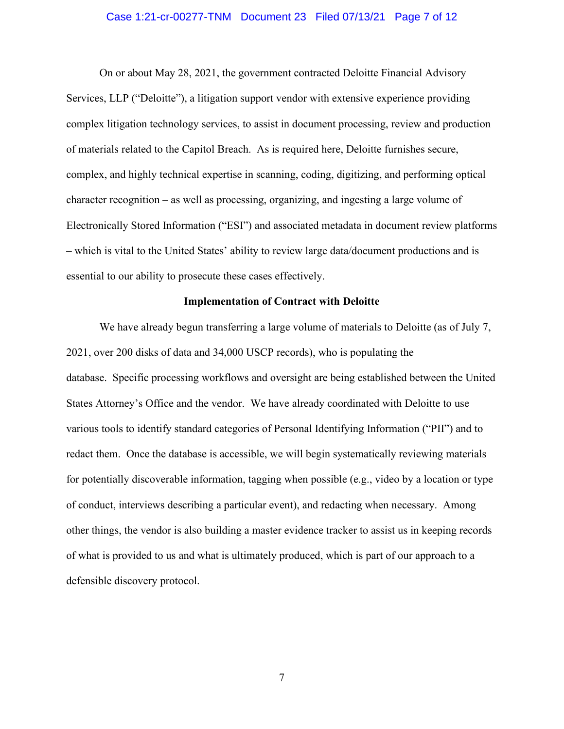### Case 1:21-cr-00277-TNM Document 23 Filed 07/13/21 Page 7 of 12

On or about May 28, 2021, the government contracted Deloitte Financial Advisory Services, LLP ("Deloitte"), a litigation support vendor with extensive experience providing complex litigation technology services, to assist in document processing, review and production of materials related to the Capitol Breach. As is required here, Deloitte furnishes secure, complex, and highly technical expertise in scanning, coding, digitizing, and performing optical character recognition – as well as processing, organizing, and ingesting a large volume of Electronically Stored Information ("ESI") and associated metadata in document review platforms – which is vital to the United States' ability to review large data/document productions and is essential to our ability to prosecute these cases effectively.

## **Implementation of Contract with Deloitte**

We have already begun transferring a large volume of materials to Deloitte (as of July 7, 2021, over 200 disks of data and 34,000 USCP records), who is populating the database. Specific processing workflows and oversight are being established between the United States Attorney's Office and the vendor. We have already coordinated with Deloitte to use various tools to identify standard categories of Personal Identifying Information ("PII") and to redact them. Once the database is accessible, we will begin systematically reviewing materials for potentially discoverable information, tagging when possible (e.g., video by a location or type of conduct, interviews describing a particular event), and redacting when necessary. Among other things, the vendor is also building a master evidence tracker to assist us in keeping records of what is provided to us and what is ultimately produced, which is part of our approach to a defensible discovery protocol.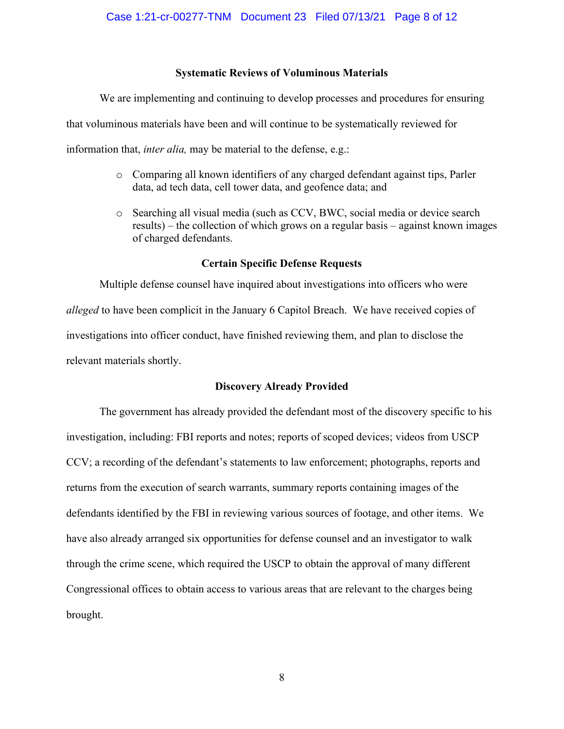## **Systematic Reviews of Voluminous Materials**

We are implementing and continuing to develop processes and procedures for ensuring

that voluminous materials have been and will continue to be systematically reviewed for

information that, *inter alia,* may be material to the defense, e.g.:

- o Comparing all known identifiers of any charged defendant against tips, Parler data, ad tech data, cell tower data, and geofence data; and
- o Searching all visual media (such as CCV, BWC, social media or device search results) – the collection of which grows on a regular basis – against known images of charged defendants.

## **Certain Specific Defense Requests**

Multiple defense counsel have inquired about investigations into officers who were *alleged* to have been complicit in the January 6 Capitol Breach. We have received copies of investigations into officer conduct, have finished reviewing them, and plan to disclose the relevant materials shortly.

## **Discovery Already Provided**

The government has already provided the defendant most of the discovery specific to his investigation, including: FBI reports and notes; reports of scoped devices; videos from USCP CCV; a recording of the defendant's statements to law enforcement; photographs, reports and returns from the execution of search warrants, summary reports containing images of the defendants identified by the FBI in reviewing various sources of footage, and other items. We have also already arranged six opportunities for defense counsel and an investigator to walk through the crime scene, which required the USCP to obtain the approval of many different Congressional offices to obtain access to various areas that are relevant to the charges being brought.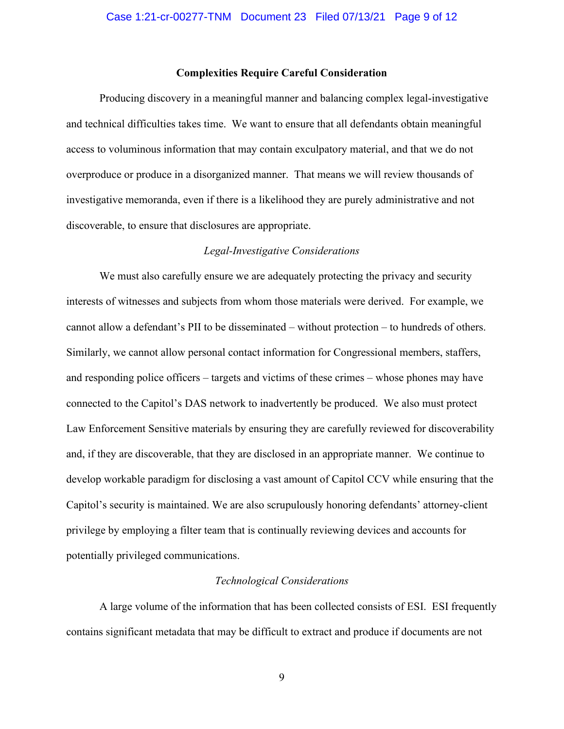## **Complexities Require Careful Consideration**

Producing discovery in a meaningful manner and balancing complex legal-investigative and technical difficulties takes time. We want to ensure that all defendants obtain meaningful access to voluminous information that may contain exculpatory material, and that we do not overproduce or produce in a disorganized manner. That means we will review thousands of investigative memoranda, even if there is a likelihood they are purely administrative and not discoverable, to ensure that disclosures are appropriate.

#### *Legal-Investigative Considerations*

We must also carefully ensure we are adequately protecting the privacy and security interests of witnesses and subjects from whom those materials were derived. For example, we cannot allow a defendant's PII to be disseminated – without protection – to hundreds of others. Similarly, we cannot allow personal contact information for Congressional members, staffers, and responding police officers – targets and victims of these crimes – whose phones may have connected to the Capitol's DAS network to inadvertently be produced. We also must protect Law Enforcement Sensitive materials by ensuring they are carefully reviewed for discoverability and, if they are discoverable, that they are disclosed in an appropriate manner. We continue to develop workable paradigm for disclosing a vast amount of Capitol CCV while ensuring that the Capitol's security is maintained. We are also scrupulously honoring defendants' attorney-client privilege by employing a filter team that is continually reviewing devices and accounts for potentially privileged communications.

#### *Technological Considerations*

A large volume of the information that has been collected consists of ESI. ESI frequently contains significant metadata that may be difficult to extract and produce if documents are not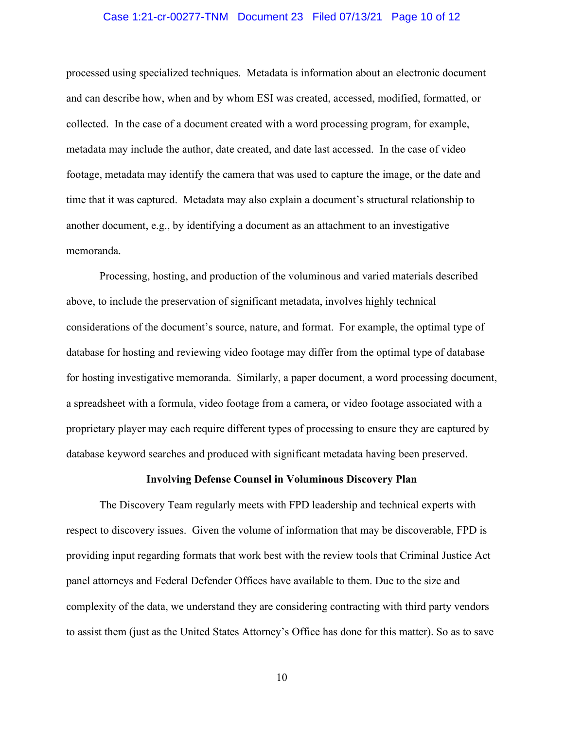## Case 1:21-cr-00277-TNM Document 23 Filed 07/13/21 Page 10 of 12

processed using specialized techniques. Metadata is information about an electronic document and can describe how, when and by whom ESI was created, accessed, modified, formatted, or collected. In the case of a document created with a word processing program, for example, metadata may include the author, date created, and date last accessed. In the case of video footage, metadata may identify the camera that was used to capture the image, or the date and time that it was captured. Metadata may also explain a document's structural relationship to another document, e.g., by identifying a document as an attachment to an investigative memoranda.

Processing, hosting, and production of the voluminous and varied materials described above, to include the preservation of significant metadata, involves highly technical considerations of the document's source, nature, and format. For example, the optimal type of database for hosting and reviewing video footage may differ from the optimal type of database for hosting investigative memoranda. Similarly, a paper document, a word processing document, a spreadsheet with a formula, video footage from a camera, or video footage associated with a proprietary player may each require different types of processing to ensure they are captured by database keyword searches and produced with significant metadata having been preserved.

#### **Involving Defense Counsel in Voluminous Discovery Plan**

The Discovery Team regularly meets with FPD leadership and technical experts with respect to discovery issues. Given the volume of information that may be discoverable, FPD is providing input regarding formats that work best with the review tools that Criminal Justice Act panel attorneys and Federal Defender Offices have available to them. Due to the size and complexity of the data, we understand they are considering contracting with third party vendors to assist them (just as the United States Attorney's Office has done for this matter). So as to save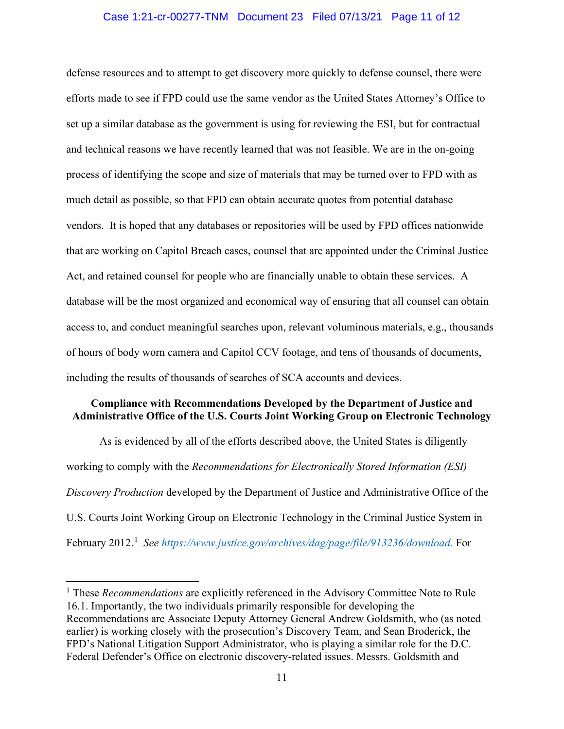## Case 1:21-cr-00277-TNM Document 23 Filed 07/13/21 Page 11 of 12

defense resources and to attempt to get discovery more quickly to defense counsel, there were efforts made to see if FPD could use the same vendor as the United States Attorney's Office to set up a similar database as the government is using for reviewing the ESI, but for contractual and technical reasons we have recently learned that was not feasible. We are in the on-going process of identifying the scope and size of materials that may be turned over to FPD with as much detail as possible, so that FPD can obtain accurate quotes from potential database vendors. It is hoped that any databases or repositories will be used by FPD offices nationwide that are working on Capitol Breach cases, counsel that are appointed under the Criminal Justice Act, and retained counsel for people who are financially unable to obtain these services. A database will be the most organized and economical way of ensuring that all counsel can obtain access to, and conduct meaningful searches upon, relevant voluminous materials, e.g., thousands of hours of body worn camera and Capitol CCV footage, and tens of thousands of documents, including the results of thousands of searches of SCA accounts and devices.

## **Compliance with Recommendations Developed by the Department of Justice and Administrative Office of the U.S. Courts Joint Working Group on Electronic Technology**

As is evidenced by all of the efforts described above, the United States is diligently working to comply with the *Recommendations for Electronically Stored Information (ESI) Discovery Production* developed by the Department of Justice and Administrative Office of the U.S. Courts Joint Working Group on Electronic Technology in the Criminal Justice System in February 2012.<sup>1</sup> See https://www.justice.gov/archives/dag/page/file/913236/download. For

<sup>&</sup>lt;sup>1</sup> These *Recommendations* are explicitly referenced in the Advisory Committee Note to Rule 16.1. Importantly, the two individuals primarily responsible for developing the Recommendations are Associate Deputy Attorney General Andrew Goldsmith, who (as noted earlier) is working closely with the prosecution's Discovery Team, and Sean Broderick, the FPD's National Litigation Support Administrator, who is playing a similar role for the D.C. Federal Defender's Office on electronic discovery-related issues. Messrs. Goldsmith and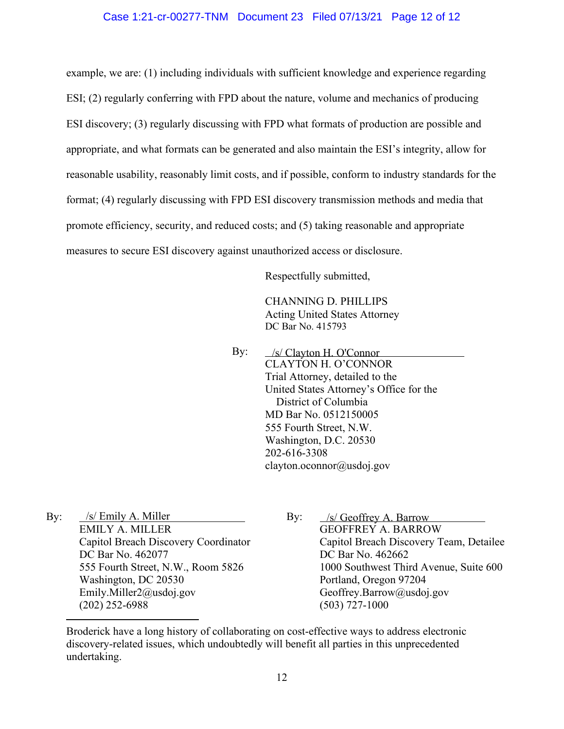## Case 1:21-cr-00277-TNM Document 23 Filed 07/13/21 Page 12 of 12

example, we are: (1) including individuals with sufficient knowledge and experience regarding ESI; (2) regularly conferring with FPD about the nature, volume and mechanics of producing ESI discovery; (3) regularly discussing with FPD what formats of production are possible and appropriate, and what formats can be generated and also maintain the ESI's integrity, allow for reasonable usability, reasonably limit costs, and if possible, conform to industry standards for the format; (4) regularly discussing with FPD ESI discovery transmission methods and media that promote efficiency, security, and reduced costs; and (5) taking reasonable and appropriate measures to secure ESI discovery against unauthorized access or disclosure.

Respectfully submitted,

CHANNING D. PHILLIPS Acting United States Attorney DC Bar No. 415793

By: CLAYTON H. O'CONNOR Trial Attorney, detailed to the United States Attorney's Office for the District of Columbia MD Bar No. 0512150005 555 Fourth Street, N.W. Washington, D.C. 20530 202-616-3308 clayton.oconnor@usdoj.gov /s/ Clayton H. O'Connor

By: EMILY A. MILLER Capitol Breach Discovery Coordinator DC Bar No. 462077 555 Fourth Street, N.W., Room 5826 Washington, DC 20530 Emily.Miller2@usdoj.gov (202) 252-6988  $\sqrt{s}$  Emily A. Miller By:  $\sqrt{s}$  Geoffrey A. Barrow

By: GEOFFREY A. BARROW Capitol Breach Discovery Team, Detailee DC Bar No. 462662 1000 Southwest Third Avenue, Suite 600 Portland, Oregon 97204 Geoffrey.Barrow@usdoj.gov (503) 727-1000

Broderick have a long history of collaborating on cost-effective ways to address electronic discovery-related issues, which undoubtedly will benefit all parties in this unprecedented undertaking.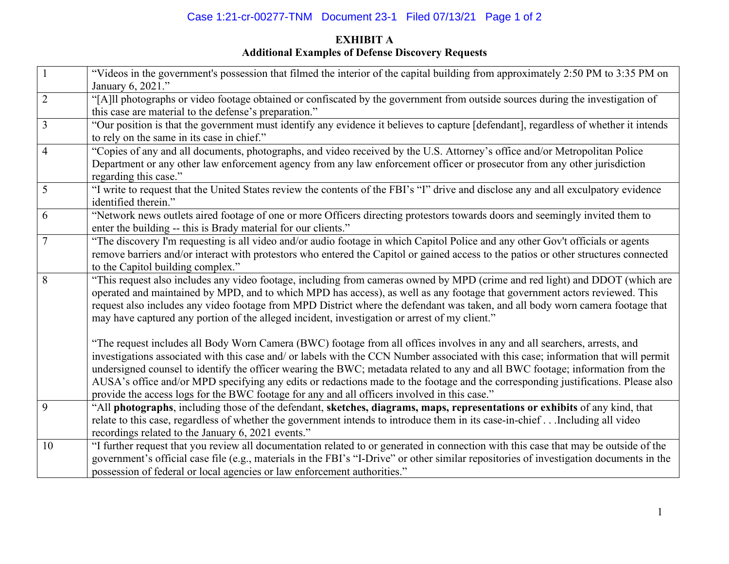# Case 1:21-cr-00277-TNM Document 23-1 Filed 07/13/21 Page 1 of 2

# **EXHIBIT A Additional Examples of Defense Discovery Requests**

|                | "Videos in the government's possession that filmed the interior of the capital building from approximately 2:50 PM to 3:35 PM on<br>January 6, 2021." |
|----------------|-------------------------------------------------------------------------------------------------------------------------------------------------------|
| $\overline{2}$ | "[A]ll photographs or video footage obtained or confiscated by the government from outside sources during the investigation of                        |
|                | this case are material to the defense's preparation."                                                                                                 |
| $\overline{3}$ | "Our position is that the government must identify any evidence it believes to capture [defendant], regardless of whether it intends                  |
|                | to rely on the same in its case in chief."                                                                                                            |
| 4              | "Copies of any and all documents, photographs, and video received by the U.S. Attorney's office and/or Metropolitan Police                            |
|                | Department or any other law enforcement agency from any law enforcement officer or prosecutor from any other jurisdiction                             |
|                | regarding this case."                                                                                                                                 |
| 5              | "I write to request that the United States review the contents of the FBI's "I" drive and disclose any and all exculpatory evidence                   |
|                | identified therein."                                                                                                                                  |
| 6              | "Network news outlets aired footage of one or more Officers directing protestors towards doors and seemingly invited them to                          |
|                | enter the building -- this is Brady material for our clients."                                                                                        |
| $\overline{7}$ | "The discovery I'm requesting is all video and/or audio footage in which Capitol Police and any other Gov't officials or agents                       |
|                | remove barriers and/or interact with protestors who entered the Capitol or gained access to the patios or other structures connected                  |
|                | to the Capitol building complex."                                                                                                                     |
| 8              | "This request also includes any video footage, including from cameras owned by MPD (crime and red light) and DDOT (which are                          |
|                | operated and maintained by MPD, and to which MPD has access), as well as any footage that government actors reviewed. This                            |
|                | request also includes any video footage from MPD District where the defendant was taken, and all body worn camera footage that                        |
|                | may have captured any portion of the alleged incident, investigation or arrest of my client."                                                         |
|                |                                                                                                                                                       |
|                | "The request includes all Body Worn Camera (BWC) footage from all offices involves in any and all searchers, arrests, and                             |
|                | investigations associated with this case and/ or labels with the CCN Number associated with this case; information that will permit                   |
|                | undersigned counsel to identify the officer wearing the BWC; metadata related to any and all BWC footage; information from the                        |
|                | AUSA's office and/or MPD specifying any edits or redactions made to the footage and the corresponding justifications. Please also                     |
|                | provide the access logs for the BWC footage for any and all officers involved in this case."                                                          |
| 9              | "All photographs, including those of the defendant, sketches, diagrams, maps, representations or exhibits of any kind, that                           |
|                | relate to this case, regardless of whether the government intends to introduce them in its case-in-chiefIncluding all video                           |
|                | recordings related to the January 6, 2021 events."                                                                                                    |
| 10             | "I further request that you review all documentation related to or generated in connection with this case that may be outside of the                  |
|                | government's official case file (e.g., materials in the FBI's "I-Drive" or other similar repositories of investigation documents in the               |
|                | possession of federal or local agencies or law enforcement authorities."                                                                              |